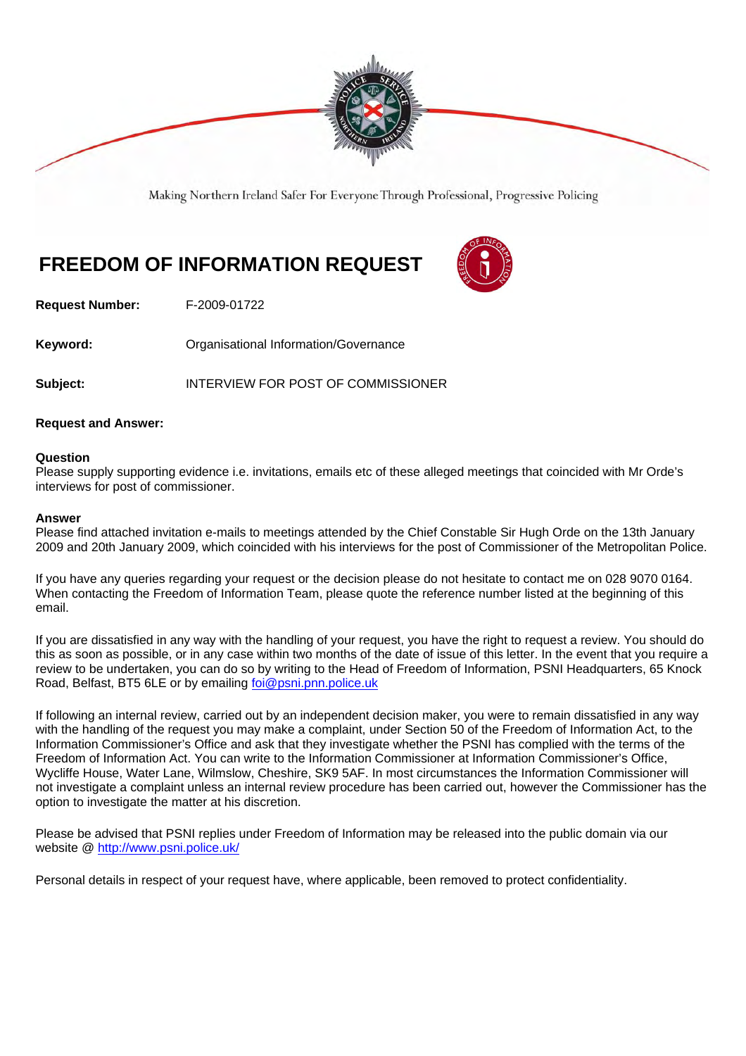

Making Northern Ireland Safer For Everyone Through Professional, Progressive Policing

# **FREEDOM OF INFORMATION REQUEST**



**Request Number:** F-2009-01722

**Keyword: Communistry Communistional Information/Governance** 

**Subject:** INTERVIEW FOR POST OF COMMISSIONER

### **Request and Answer:**

#### **Question**

Please supply supporting evidence i.e. invitations, emails etc of these alleged meetings that coincided with Mr Orde's interviews for post of commissioner.

#### **Answer**

Please find attached invitation e-mails to meetings attended by the Chief Constable Sir Hugh Orde on the 13th January 2009 and 20th January 2009, which coincided with his interviews for the post of Commissioner of the Metropolitan Police.

If you have any queries regarding your request or the decision please do not hesitate to contact me on 028 9070 0164. When contacting the Freedom of Information Team, please quote the reference number listed at the beginning of this email.

If you are dissatisfied in any way with the handling of your request, you have the right to request a review. You should do this as soon as possible, or in any case within two months of the date of issue of this letter. In the event that you require a review to be undertaken, you can do so by writing to the Head of Freedom of Information, PSNI Headquarters, 65 Knock Road, Belfast, BT5 6LE or by emailing foi@psni.pnn.police.uk

If following an internal review, carried out by an independent decision maker, you were to remain dissatisfied in any way with the handling of the request you may make a complaint, under Section 50 of the Freedom of Information Act, to the Information Commissioner's Office and ask that they investigate whether the PSNI has complied with the terms of the Freedom of Information Act. You can write to the Information Commissioner at Information Commissioner's Office, Wycliffe House, Water Lane, Wilmslow, Cheshire, SK9 5AF. In most circumstances the Information Commissioner will not investigate a complaint unless an internal review procedure has been carried out, however the Commissioner has the option to investigate the matter at his discretion.

Please be advised that PSNI replies under Freedom of Information may be released into the public domain via our website @ http://www.psni.police.uk/

Personal details in respect of your request have, where applicable, been removed to protect confidentiality.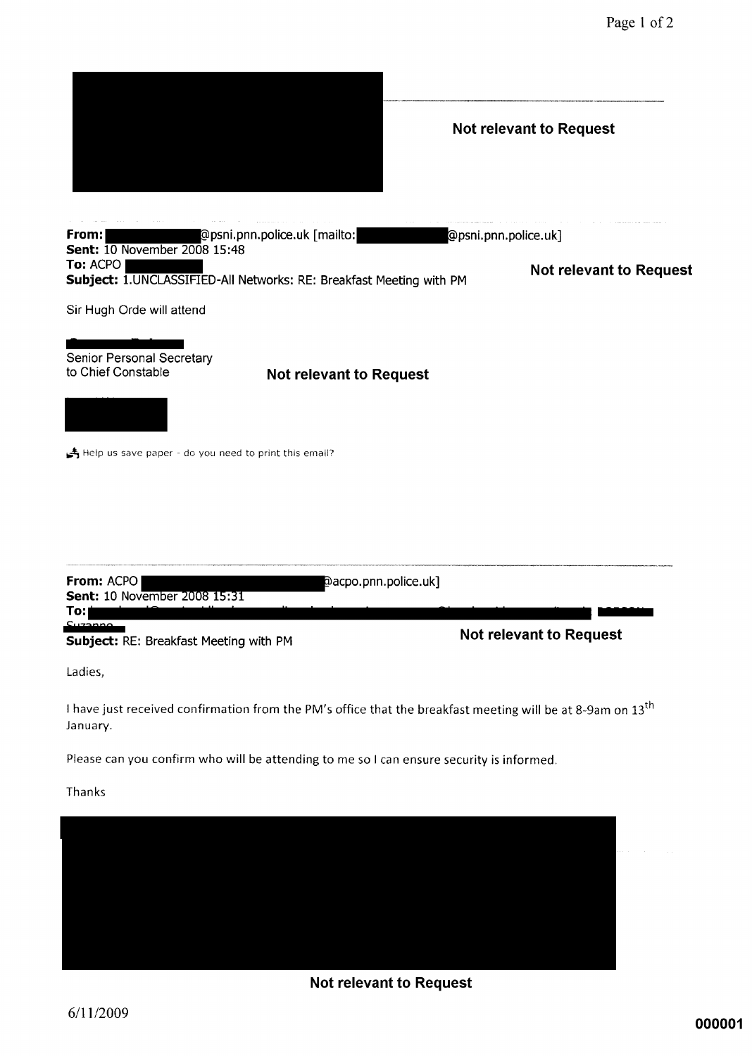|                                                           |                                                                                                                        | <b>Not relevant to Request</b> |  |
|-----------------------------------------------------------|------------------------------------------------------------------------------------------------------------------------|--------------------------------|--|
|                                                           |                                                                                                                        |                                |  |
| From:<br><b>Sent:</b> 10 November 2008 15:48              | @psni.pnn.police.uk [mailto:                                                                                           | @psni.pnn.police.uk]           |  |
| To: ACPO                                                  | Subject: 1. UNCLASSIFIED-All Networks: RE: Breakfast Meeting with PM                                                   | <b>Not relevant to Request</b> |  |
| Sir Hugh Orde will attend                                 |                                                                                                                        |                                |  |
| Senior Personal Secretary<br>to Chief Constable           | <b>Not relevant to Request</b>                                                                                         |                                |  |
|                                                           |                                                                                                                        |                                |  |
| Help us save paper - do you need to print this email?     |                                                                                                                        |                                |  |
| From: ACPO<br><b>Sent: 10 November 2008 15:31</b>         | @acpo.pnn.police.uk]                                                                                                   |                                |  |
| To: <br>مممجينك<br>Subject: RE: Breakfast Meeting with PM |                                                                                                                        | <b>Not relevant to Request</b> |  |
| Ladies,                                                   |                                                                                                                        |                                |  |
| January.                                                  | I have just received confirmation from the PM's office that the breakfast meeting will be at 8-9am on 13 <sup>th</sup> |                                |  |
|                                                           | Please can you confirm who will be attending to me so I can ensure security is informed.                               |                                |  |
| Thanks                                                    |                                                                                                                        |                                |  |
|                                                           |                                                                                                                        |                                |  |

**Not relevant to Request**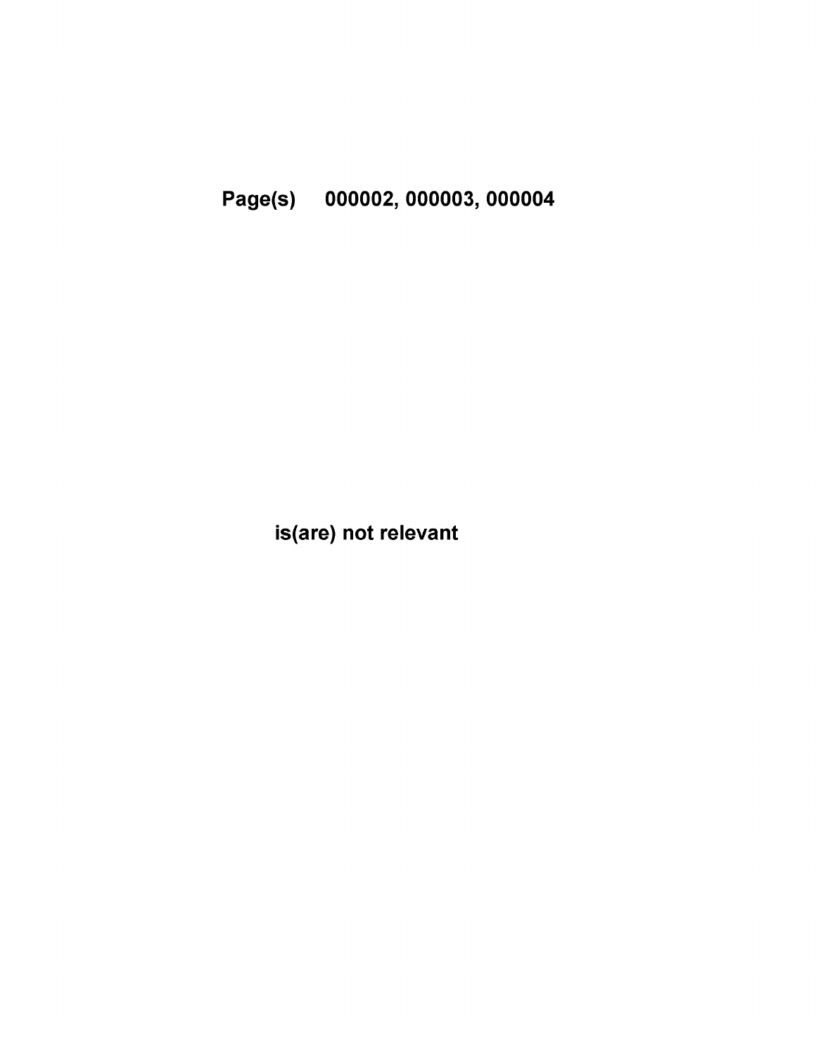Page(s) 000002, 000003, 000004

is(are) not relevant